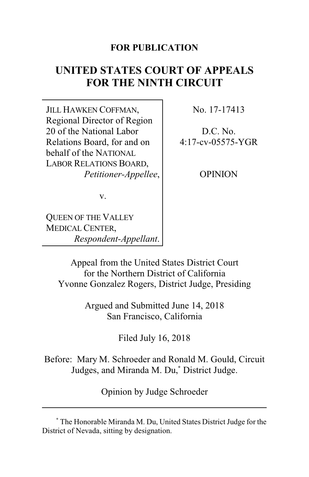# **FOR PUBLICATION**

# **UNITED STATES COURT OF APPEALS FOR THE NINTH CIRCUIT**

JILL HAWKEN COFFMAN, Regional Director of Region 20 of the National Labor Relations Board, for and on behalf of the NATIONAL LABOR RELATIONS BOARD, *Petitioner-Appellee*, No. 17-17413

D.C. No. 4:17-cv-05575-YGR

**OPINION** 

v.

QUEEN OF THE VALLEY MEDICAL CENTER, *Respondent-Appellant*.

Appeal from the United States District Court for the Northern District of California Yvonne Gonzalez Rogers, District Judge, Presiding

> Argued and Submitted June 14, 2018 San Francisco, California

> > Filed July 16, 2018

Before: Mary M. Schroeder and Ronald M. Gould, Circuit Judges, and Miranda M. Du,**\*** District Judge.

Opinion by Judge Schroeder

**<sup>\*</sup>** The Honorable Miranda M. Du, United States District Judge for the District of Nevada, sitting by designation.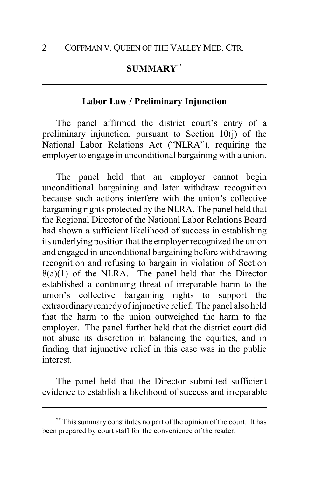### **SUMMARY\*\***

### **Labor Law / Preliminary Injunction**

The panel affirmed the district court's entry of a preliminary injunction, pursuant to Section 10(j) of the National Labor Relations Act ("NLRA"), requiring the employer to engage in unconditional bargaining with a union.

The panel held that an employer cannot begin unconditional bargaining and later withdraw recognition because such actions interfere with the union's collective bargaining rights protected by the NLRA. The panel held that the Regional Director of the National Labor Relations Board had shown a sufficient likelihood of success in establishing its underlying position that the employer recognized the union and engaged in unconditional bargaining before withdrawing recognition and refusing to bargain in violation of Section  $8(a)(1)$  of the NLRA. The panel held that the Director established a continuing threat of irreparable harm to the union's collective bargaining rights to support the extraordinary remedy of injunctive relief. The panel also held that the harm to the union outweighed the harm to the employer. The panel further held that the district court did not abuse its discretion in balancing the equities, and in finding that injunctive relief in this case was in the public interest.

The panel held that the Director submitted sufficient evidence to establish a likelihood of success and irreparable

**<sup>\*\*</sup>** This summary constitutes no part of the opinion of the court. It has been prepared by court staff for the convenience of the reader.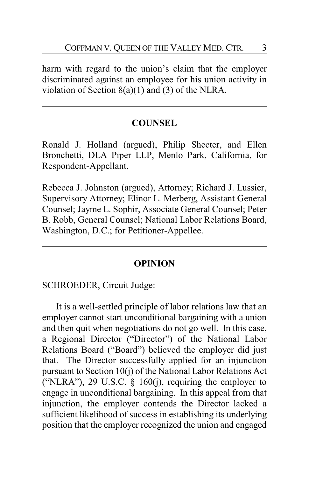harm with regard to the union's claim that the employer discriminated against an employee for his union activity in violation of Section  $8(a)(1)$  and  $(3)$  of the NLRA.

### **COUNSEL**

Ronald J. Holland (argued), Philip Shecter, and Ellen Bronchetti, DLA Piper LLP, Menlo Park, California, for Respondent-Appellant.

Rebecca J. Johnston (argued), Attorney; Richard J. Lussier, Supervisory Attorney; Elinor L. Merberg, Assistant General Counsel; Jayme L. Sophir, Associate General Counsel; Peter B. Robb, General Counsel; National Labor Relations Board, Washington, D.C.; for Petitioner-Appellee.

#### **OPINION**

#### SCHROEDER, Circuit Judge:

It is a well-settled principle of labor relations law that an employer cannot start unconditional bargaining with a union and then quit when negotiations do not go well. In this case, a Regional Director ("Director") of the National Labor Relations Board ("Board") believed the employer did just that. The Director successfully applied for an injunction pursuant to Section 10(j) of the National Labor Relations Act ("NLRA"), 29 U.S.C.  $\S$  160(j), requiring the employer to engage in unconditional bargaining. In this appeal from that injunction, the employer contends the Director lacked a sufficient likelihood of success in establishing its underlying position that the employer recognized the union and engaged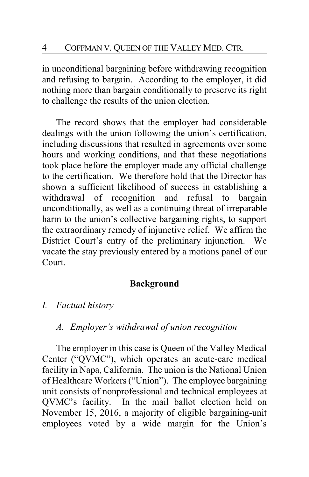in unconditional bargaining before withdrawing recognition and refusing to bargain. According to the employer, it did nothing more than bargain conditionally to preserve its right to challenge the results of the union election.

The record shows that the employer had considerable dealings with the union following the union's certification, including discussions that resulted in agreements over some hours and working conditions, and that these negotiations took place before the employer made any official challenge to the certification. We therefore hold that the Director has shown a sufficient likelihood of success in establishing a withdrawal of recognition and refusal to bargain unconditionally, as well as a continuing threat of irreparable harm to the union's collective bargaining rights, to support the extraordinary remedy of injunctive relief. We affirm the District Court's entry of the preliminary injunction. We vacate the stay previously entered by a motions panel of our Court.

# **Background**

*I. Factual history*

# *A. Employer's withdrawal of union recognition*

The employer in this case is Queen of the Valley Medical Center ("QVMC"), which operates an acute-care medical facility in Napa, California. The union is the National Union of Healthcare Workers ("Union"). The employee bargaining unit consists of nonprofessional and technical employees at QVMC's facility. In the mail ballot election held on November 15, 2016, a majority of eligible bargaining-unit employees voted by a wide margin for the Union's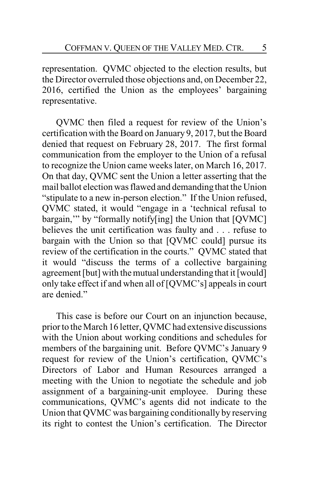representation. QVMC objected to the election results, but the Director overruled those objections and, on December 22, 2016, certified the Union as the employees' bargaining representative.

QVMC then filed a request for review of the Union's certification with the Board on January 9, 2017, but the Board denied that request on February 28, 2017. The first formal communication from the employer to the Union of a refusal to recognize the Union came weeks later, on March 16, 2017. On that day, QVMC sent the Union a letter asserting that the mail ballot election was flawed and demanding that the Union "stipulate to a new in-person election." If the Union refused, QVMC stated, it would "engage in a 'technical refusal to bargain,'" by "formally notify[ing] the Union that [QVMC] believes the unit certification was faulty and . . . refuse to bargain with the Union so that [QVMC could] pursue its review of the certification in the courts." QVMC stated that it would "discuss the terms of a collective bargaining agreement [but] with the mutual understanding that it [would] only take effect if and when all of [QVMC's] appeals in court are denied."

This case is before our Court on an injunction because, prior to the March 16 letter, QVMC had extensive discussions with the Union about working conditions and schedules for members of the bargaining unit. Before QVMC's January 9 request for review of the Union's certification, QVMC's Directors of Labor and Human Resources arranged a meeting with the Union to negotiate the schedule and job assignment of a bargaining-unit employee. During these communications, QVMC's agents did not indicate to the Union that QVMC was bargaining conditionally by reserving its right to contest the Union's certification. The Director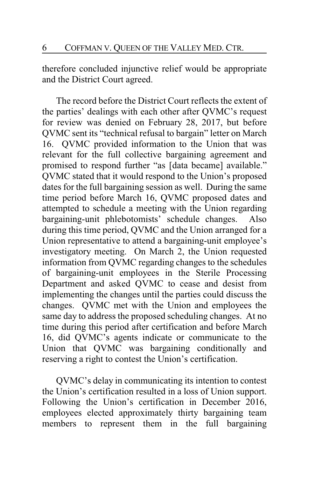therefore concluded injunctive relief would be appropriate and the District Court agreed.

The record before the District Court reflects the extent of the parties' dealings with each other after QVMC's request for review was denied on February 28, 2017, but before QVMC sent its "technical refusal to bargain" letter on March 16. QVMC provided information to the Union that was relevant for the full collective bargaining agreement and promised to respond further "as [data became] available." QVMC stated that it would respond to the Union's proposed dates for the full bargaining session as well. During the same time period before March 16, QVMC proposed dates and attempted to schedule a meeting with the Union regarding bargaining-unit phlebotomists' schedule changes. Also during this time period, QVMC and the Union arranged for a Union representative to attend a bargaining-unit employee's investigatory meeting. On March 2, the Union requested information from QVMC regarding changes to the schedules of bargaining-unit employees in the Sterile Processing Department and asked QVMC to cease and desist from implementing the changes until the parties could discuss the changes. QVMC met with the Union and employees the same day to address the proposed scheduling changes. At no time during this period after certification and before March 16, did QVMC's agents indicate or communicate to the Union that QVMC was bargaining conditionally and reserving a right to contest the Union's certification.

QVMC's delay in communicating its intention to contest the Union's certification resulted in a loss of Union support. Following the Union's certification in December 2016, employees elected approximately thirty bargaining team members to represent them in the full bargaining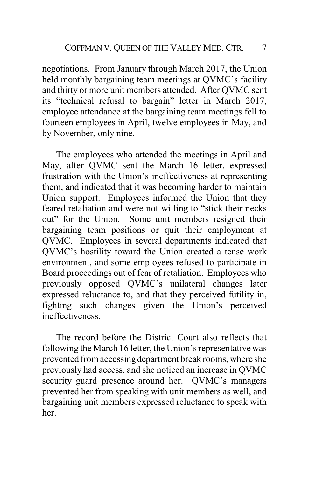negotiations. From January through March 2017, the Union held monthly bargaining team meetings at QVMC's facility and thirty or more unit members attended. After QVMC sent its "technical refusal to bargain" letter in March 2017, employee attendance at the bargaining team meetings fell to fourteen employees in April, twelve employees in May, and by November, only nine.

The employees who attended the meetings in April and May, after QVMC sent the March 16 letter, expressed frustration with the Union's ineffectiveness at representing them, and indicated that it was becoming harder to maintain Union support. Employees informed the Union that they feared retaliation and were not willing to "stick their necks out" for the Union. Some unit members resigned their bargaining team positions or quit their employment at QVMC. Employees in several departments indicated that QVMC's hostility toward the Union created a tense work environment, and some employees refused to participate in Board proceedings out of fear of retaliation. Employees who previously opposed QVMC's unilateral changes later expressed reluctance to, and that they perceived futility in, fighting such changes given the Union's perceived ineffectiveness.

The record before the District Court also reflects that following the March 16 letter, the Union's representative was prevented from accessing department break rooms, where she previously had access, and she noticed an increase in QVMC security guard presence around her. QVMC's managers prevented her from speaking with unit members as well, and bargaining unit members expressed reluctance to speak with her.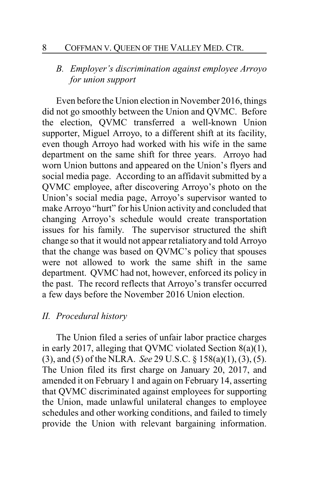### 8 COFFMAN V. QUEEN OF THE VALLEY MED. CTR.

# *B. Employer's discrimination against employee Arroyo for union support*

Even before the Union election in November 2016, things did not go smoothly between the Union and QVMC. Before the election, QVMC transferred a well-known Union supporter, Miguel Arroyo, to a different shift at its facility, even though Arroyo had worked with his wife in the same department on the same shift for three years. Arroyo had worn Union buttons and appeared on the Union's flyers and social media page. According to an affidavit submitted by a QVMC employee, after discovering Arroyo's photo on the Union's social media page, Arroyo's supervisor wanted to make Arroyo "hurt" for his Union activity and concluded that changing Arroyo's schedule would create transportation issues for his family. The supervisor structured the shift change so that it would not appear retaliatory and told Arroyo that the change was based on QVMC's policy that spouses were not allowed to work the same shift in the same department. QVMC had not, however, enforced its policy in the past. The record reflects that Arroyo's transfer occurred a few days before the November 2016 Union election.

### *II. Procedural history*

The Union filed a series of unfair labor practice charges in early 2017, alleging that QVMC violated Section 8(a)(1), (3), and (5) of the NLRA. *See* 29 U.S.C. § 158(a)(1), (3), (5). The Union filed its first charge on January 20, 2017, and amended it on February 1 and again on February 14, asserting that QVMC discriminated against employees for supporting the Union, made unlawful unilateral changes to employee schedules and other working conditions, and failed to timely provide the Union with relevant bargaining information.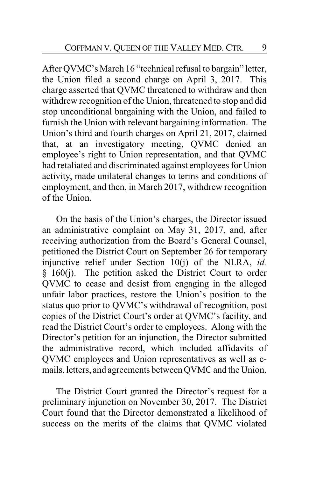After QVMC's March 16 "technical refusal to bargain" letter, the Union filed a second charge on April 3, 2017. This charge asserted that QVMC threatened to withdraw and then withdrew recognition of the Union, threatened to stop and did stop unconditional bargaining with the Union, and failed to furnish the Union with relevant bargaining information. The Union's third and fourth charges on April 21, 2017, claimed that, at an investigatory meeting, QVMC denied an employee's right to Union representation, and that QVMC had retaliated and discriminated against employees for Union activity, made unilateral changes to terms and conditions of employment, and then, in March 2017, withdrew recognition of the Union.

On the basis of the Union's charges, the Director issued an administrative complaint on May 31, 2017, and, after receiving authorization from the Board's General Counsel, petitioned the District Court on September 26 for temporary injunctive relief under Section 10(j) of the NLRA, *id.* § 160(j). The petition asked the District Court to order QVMC to cease and desist from engaging in the alleged unfair labor practices, restore the Union's position to the status quo prior to QVMC's withdrawal of recognition, post copies of the District Court's order at QVMC's facility, and read the District Court's order to employees. Along with the Director's petition for an injunction, the Director submitted the administrative record, which included affidavits of QVMC employees and Union representatives as well as emails, letters, and agreements between QVMC and the Union.

The District Court granted the Director's request for a preliminary injunction on November 30, 2017. The District Court found that the Director demonstrated a likelihood of success on the merits of the claims that QVMC violated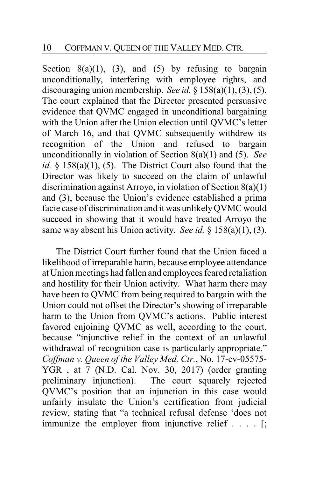Section  $8(a)(1)$ ,  $(3)$ , and  $(5)$  by refusing to bargain unconditionally, interfering with employee rights, and discouraging union membership. *See id.* § 158(a)(1), (3), (5). The court explained that the Director presented persuasive evidence that QVMC engaged in unconditional bargaining with the Union after the Union election until QVMC's letter of March 16, and that QVMC subsequently withdrew its recognition of the Union and refused to bargain unconditionally in violation of Section 8(a)(1) and (5). *See id.* § 158(a)(1), (5). The District Court also found that the Director was likely to succeed on the claim of unlawful discrimination against Arroyo, in violation of Section 8(a)(1) and (3), because the Union's evidence established a prima facie case of discrimination and it was unlikelyQVMC would succeed in showing that it would have treated Arroyo the same way absent his Union activity. *See id.* § 158(a)(1), (3).

The District Court further found that the Union faced a likelihood of irreparable harm, because employee attendance at Union meetings had fallen and employees feared retaliation and hostility for their Union activity. What harm there may have been to QVMC from being required to bargain with the Union could not offset the Director's showing of irreparable harm to the Union from QVMC's actions. Public interest favored enjoining QVMC as well, according to the court, because "injunctive relief in the context of an unlawful withdrawal of recognition case is particularly appropriate." *Coffman v. Queen of the Valley Med. Ctr.*, No. 17-cv-05575- YGR , at 7 (N.D. Cal. Nov. 30, 2017) (order granting preliminary injunction). The court squarely rejected QVMC's position that an injunction in this case would unfairly insulate the Union's certification from judicial review, stating that "a technical refusal defense 'does not immunize the employer from injunctive relief . . . . [;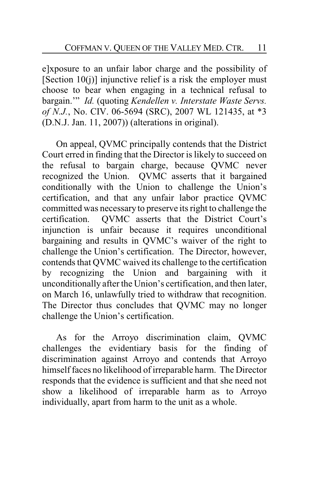e]xposure to an unfair labor charge and the possibility of [Section  $10(i)$ ] injunctive relief is a risk the employer must choose to bear when engaging in a technical refusal to bargain.'" *Id.* (quoting *Kendellen v. Interstate Waste Servs. of N.J.*, No. CIV. 06-5694 (SRC), 2007 WL 121435, at \*3 (D.N.J. Jan. 11, 2007)) (alterations in original).

On appeal, QVMC principally contends that the District Court erred in finding that the Director is likely to succeed on the refusal to bargain charge, because QVMC never recognized the Union. QVMC asserts that it bargained conditionally with the Union to challenge the Union's certification, and that any unfair labor practice QVMC committed was necessaryto preserve its right to challenge the certification. QVMC asserts that the District Court's injunction is unfair because it requires unconditional bargaining and results in QVMC's waiver of the right to challenge the Union's certification. The Director, however, contends that QVMC waived its challenge to the certification by recognizing the Union and bargaining with it unconditionally after the Union's certification, and then later, on March 16, unlawfully tried to withdraw that recognition. The Director thus concludes that QVMC may no longer challenge the Union's certification.

As for the Arroyo discrimination claim, QVMC challenges the evidentiary basis for the finding of discrimination against Arroyo and contends that Arroyo himself faces no likelihood of irreparable harm. The Director responds that the evidence is sufficient and that she need not show a likelihood of irreparable harm as to Arroyo individually, apart from harm to the unit as a whole.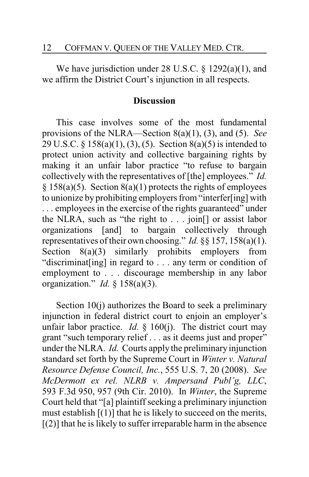We have jurisdiction under 28 U.S.C. § 1292(a)(1), and we affirm the District Court's injunction in all respects.

### **Discussion**

This case involves some of the most fundamental provisions of the NLRA—Section 8(a)(1), (3), and (5). *See* 29 U.S.C. § 158(a)(1), (3), (5). Section 8(a)(5) is intended to protect union activity and collective bargaining rights by making it an unfair labor practice "to refuse to bargain collectively with the representatives of [the] employees." *Id.*  $§ 158(a)(5)$ . Section  $8(a)(1)$  protects the rights of employees to unionize by prohibiting employers from "interfer[ing] with . . . employees in the exercise of the rights guaranteed" under the NLRA, such as "the right to . . . join[] or assist labor organizations [and] to bargain collectively through representatives of their own choosing." *Id.* §§ 157, 158(a)(1). Section 8(a)(3) similarly prohibits employers from "discriminat[ing] in regard to . . . any term or condition of employment to . . . discourage membership in any labor organization." *Id.* § 158(a)(3).

Section 10(j) authorizes the Board to seek a preliminary injunction in federal district court to enjoin an employer's unfair labor practice. *Id.*  $\S$  160(j). The district court may grant "such temporary relief . . . as it deems just and proper" under the NLRA. *Id.* Courts apply the preliminary injunction standard set forth by the Supreme Court in *Winter v. Natural Resource Defense Council, Inc.*, 555 U.S. 7, 20 (2008). *See McDermott ex rel. NLRB v. Ampersand Publ'g, LLC*, 593 F.3d 950, 957 (9th Cir. 2010). In *Winter*, the Supreme Court held that "[a] plaintiff seeking a preliminary injunction must establish  $[(1)]$  that he is likely to succeed on the merits,  $(2)$ ] that he is likely to suffer irreparable harm in the absence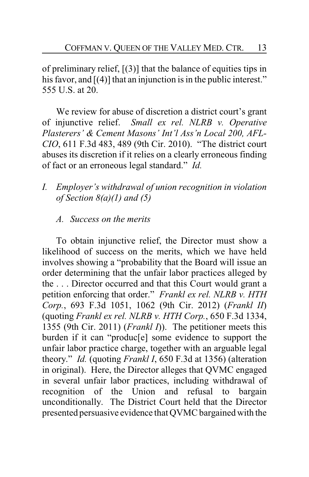of preliminary relief,  $[(3)]$  that the balance of equities tips in his favor, and [(4)] that an injunction is in the public interest." 555 U.S. at 20.

We review for abuse of discretion a district court's grant of injunctive relief. *Small ex rel. NLRB v. Operative Plasterers' & Cement Masons' Int'l Ass'n Local 200, AFL-CIO*, 611 F.3d 483, 489 (9th Cir. 2010). "The district court abuses its discretion if it relies on a clearly erroneous finding of fact or an erroneous legal standard." *Id.*

- *I. Employer's withdrawal of union recognition in violation of Section 8(a)(1) and (5)*
	- *A. Success on the merits*

To obtain injunctive relief, the Director must show a likelihood of success on the merits, which we have held involves showing a "probability that the Board will issue an order determining that the unfair labor practices alleged by the . . . Director occurred and that this Court would grant a petition enforcing that order." *Frankl ex rel. NLRB v. HTH Corp.*, 693 F.3d 1051, 1062 (9th Cir. 2012) (*Frankl II*) (quoting *Frankl ex rel. NLRB v. HTH Corp.*, 650 F.3d 1334, 1355 (9th Cir. 2011) (*Frankl I*)). The petitioner meets this burden if it can "produc[e] some evidence to support the unfair labor practice charge, together with an arguable legal theory." *Id.* (quoting *Frankl I*, 650 F.3d at 1356) (alteration in original). Here, the Director alleges that QVMC engaged in several unfair labor practices, including withdrawal of recognition of the Union and refusal to bargain unconditionally. The District Court held that the Director presented persuasive evidence that QVMC bargained with the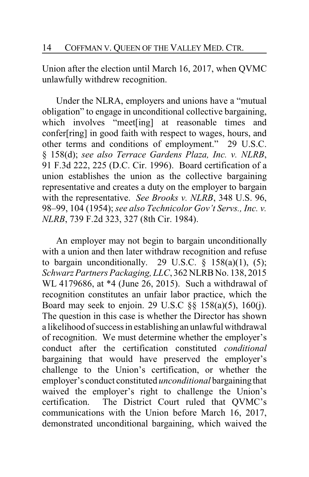Union after the election until March 16, 2017, when QVMC unlawfully withdrew recognition.

Under the NLRA, employers and unions have a "mutual obligation" to engage in unconditional collective bargaining, which involves "meet[ing] at reasonable times and confer[ring] in good faith with respect to wages, hours, and other terms and conditions of employment." 29 U.S.C. § 158(d); *see also Terrace Gardens Plaza, Inc. v. NLRB*, 91 F.3d 222, 225 (D.C. Cir. 1996). Board certification of a union establishes the union as the collective bargaining representative and creates a duty on the employer to bargain with the representative. *See Brooks v. NLRB*, 348 U.S. 96, 98–99, 104 (1954); *see also Technicolor Gov't Servs., Inc. v. NLRB*, 739 F.2d 323, 327 (8th Cir. 1984).

An employer may not begin to bargain unconditionally with a union and then later withdraw recognition and refuse to bargain unconditionally. 29 U.S.C.  $\S$  158(a)(1), (5); *Schwarz Partners Packaging, LLC*, 362 NLRB No. 138, 2015 WL 4179686, at \*4 (June 26, 2015). Such a withdrawal of recognition constitutes an unfair labor practice, which the Board may seek to enjoin. 29 U.S.C §§ 158(a)(5), 160(j). The question in this case is whether the Director has shown a likelihood of success in establishing an unlawful withdrawal of recognition. We must determine whether the employer's conduct after the certification constituted *conditional* bargaining that would have preserved the employer's challenge to the Union's certification, or whether the employer's conduct constituted *unconditional* bargainingthat waived the employer's right to challenge the Union's certification. The District Court ruled that QVMC's communications with the Union before March 16, 2017, demonstrated unconditional bargaining, which waived the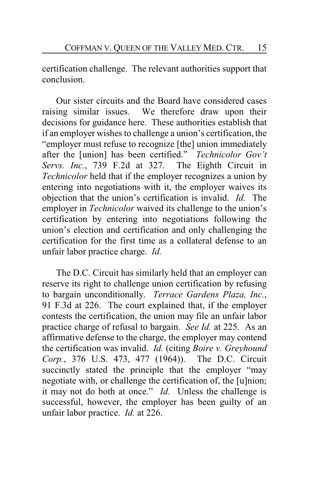certification challenge. The relevant authorities support that conclusion.

Our sister circuits and the Board have considered cases raising similar issues. We therefore draw upon their decisions for guidance here. These authorities establish that if an employer wishes to challenge a union's certification, the "employer must refuse to recognize [the] union immediately after the [union] has been certified." *Technicolor Gov't Servs. Inc.*, 739 F.2d at 327. The Eighth Circuit in *Technicolor* held that if the employer recognizes a union by entering into negotiations with it, the employer waives its objection that the union's certification is invalid. *Id.* The employer in *Technicolor* waived its challenge to the union's certification by entering into negotiations following the union's election and certification and only challenging the certification for the first time as a collateral defense to an unfair labor practice charge. *Id.*

The D.C. Circuit has similarly held that an employer can reserve its right to challenge union certification by refusing to bargain unconditionally. *Terrace Gardens Plaza, Inc.*, 91 F.3d at 226. The court explained that, if the employer contests the certification, the union may file an unfair labor practice charge of refusal to bargain. *See Id.* at 225. As an affirmative defense to the charge, the employer may contend the certification was invalid. *Id.* (citing *Boire v. Greyhound Corp.*, 376 U.S. 473, 477 (1964)). The D.C. Circuit succinctly stated the principle that the employer "may negotiate with, or challenge the certification of, the [u]nion; it may not do both at once." *Id.* Unless the challenge is successful, however, the employer has been guilty of an unfair labor practice. *Id.* at 226.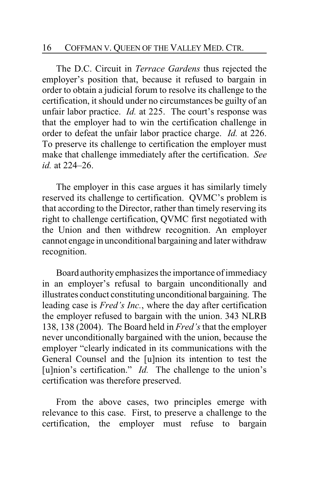#### 16 COFFMAN V. QUEEN OF THE VALLEY MED. CTR.

The D.C. Circuit in *Terrace Gardens* thus rejected the employer's position that, because it refused to bargain in order to obtain a judicial forum to resolve its challenge to the certification, it should under no circumstances be guilty of an unfair labor practice. *Id.* at 225. The court's response was that the employer had to win the certification challenge in order to defeat the unfair labor practice charge. *Id.* at 226. To preserve its challenge to certification the employer must make that challenge immediately after the certification. *See id.* at 224–26.

The employer in this case argues it has similarly timely reserved its challenge to certification. QVMC's problem is that according to the Director, rather than timely reserving its right to challenge certification, QVMC first negotiated with the Union and then withdrew recognition. An employer cannot engage in unconditional bargaining and later withdraw recognition.

Board authorityemphasizes the importance of immediacy in an employer's refusal to bargain unconditionally and illustrates conduct constituting unconditional bargaining. The leading case is *Fred's Inc.*, where the day after certification the employer refused to bargain with the union. 343 NLRB 138, 138 (2004). The Board held in *Fred's*that the employer never unconditionally bargained with the union, because the employer "clearly indicated in its communications with the General Counsel and the [u]nion its intention to test the [u]nion's certification." *Id.* The challenge to the union's certification was therefore preserved.

From the above cases, two principles emerge with relevance to this case. First, to preserve a challenge to the certification, the employer must refuse to bargain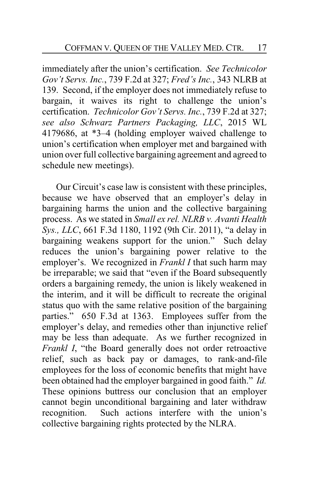immediately after the union's certification. *See Technicolor Gov't Servs. Inc.*, 739 F.2d at 327; *Fred's Inc.*, 343 NLRB at 139. Second, if the employer does not immediately refuse to bargain, it waives its right to challenge the union's certification. *Technicolor Gov't Servs. Inc.*, 739 F.2d at 327; *see also Schwarz Partners Packaging, LLC*, 2015 WL 4179686, at \*3–4 (holding employer waived challenge to union's certification when employer met and bargained with union over full collective bargaining agreement and agreed to schedule new meetings).

Our Circuit's case law is consistent with these principles, because we have observed that an employer's delay in bargaining harms the union and the collective bargaining process. As we stated in *Small ex rel. NLRB v. Avanti Health Sys., LLC*, 661 F.3d 1180, 1192 (9th Cir. 2011), "a delay in bargaining weakens support for the union." Such delay reduces the union's bargaining power relative to the employer's. We recognized in *Frankl I* that such harm may be irreparable; we said that "even if the Board subsequently orders a bargaining remedy, the union is likely weakened in the interim, and it will be difficult to recreate the original status quo with the same relative position of the bargaining parties." 650 F.3d at 1363. Employees suffer from the employer's delay, and remedies other than injunctive relief may be less than adequate. As we further recognized in *Frankl I*, "the Board generally does not order retroactive relief, such as back pay or damages, to rank-and-file employees for the loss of economic benefits that might have been obtained had the employer bargained in good faith." *Id.* These opinions buttress our conclusion that an employer cannot begin unconditional bargaining and later withdraw recognition. Such actions interfere with the union's collective bargaining rights protected by the NLRA.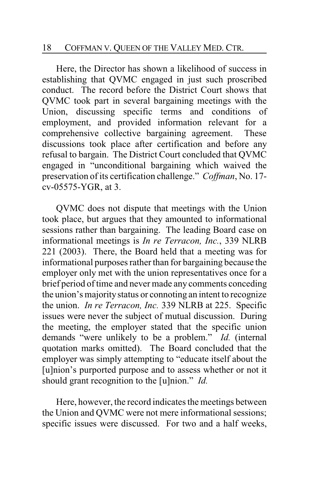### 18 COFFMAN V. QUEEN OF THE VALLEY MED. CTR.

Here, the Director has shown a likelihood of success in establishing that QVMC engaged in just such proscribed conduct. The record before the District Court shows that QVMC took part in several bargaining meetings with the Union, discussing specific terms and conditions of employment, and provided information relevant for a comprehensive collective bargaining agreement. These discussions took place after certification and before any refusal to bargain. The District Court concluded that QVMC engaged in "unconditional bargaining which waived the preservation of its certification challenge." *Coffman*, No. 17 cv-05575-YGR, at 3.

QVMC does not dispute that meetings with the Union took place, but argues that they amounted to informational sessions rather than bargaining. The leading Board case on informational meetings is *In re Terracon, Inc.*, 339 NLRB 221 (2003). There, the Board held that a meeting was for informational purposes rather than for bargaining because the employer only met with the union representatives once for a brief period of time and never made any comments conceding the union's majoritystatus or connoting an intent to recognize the union. *In re Terracon, Inc.* 339 NLRB at 225. Specific issues were never the subject of mutual discussion. During the meeting, the employer stated that the specific union demands "were unlikely to be a problem." *Id.* (internal quotation marks omitted). The Board concluded that the employer was simply attempting to "educate itself about the [u]nion's purported purpose and to assess whether or not it should grant recognition to the [u]nion." *Id.*

Here, however, the record indicates the meetings between the Union and QVMC were not mere informational sessions; specific issues were discussed. For two and a half weeks,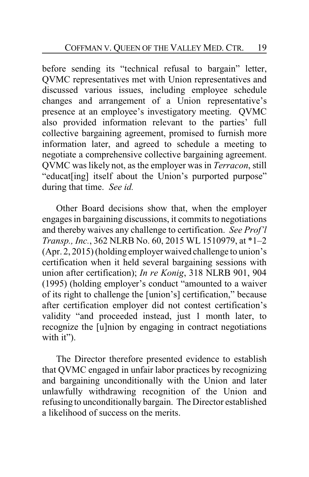before sending its "technical refusal to bargain" letter, QVMC representatives met with Union representatives and discussed various issues, including employee schedule changes and arrangement of a Union representative's presence at an employee's investigatory meeting. QVMC also provided information relevant to the parties' full collective bargaining agreement, promised to furnish more information later, and agreed to schedule a meeting to negotiate a comprehensive collective bargaining agreement. QVMC was likely not, as the employer was in *Terracon*, still "educat[ing] itself about the Union's purported purpose" during that time. *See id.*

Other Board decisions show that, when the employer engages in bargaining discussions, it commits to negotiations and thereby waives any challenge to certification. *See Prof'l Transp., Inc.*, 362 NLRB No. 60, 2015 WL 1510979, at \*1–2 (Apr. 2, 2015) (holding employer waived challenge to union's certification when it held several bargaining sessions with union after certification); *In re Konig*, 318 NLRB 901, 904 (1995) (holding employer's conduct "amounted to a waiver of its right to challenge the [union's] certification," because after certification employer did not contest certification's validity "and proceeded instead, just 1 month later, to recognize the [u]nion by engaging in contract negotiations with it").

The Director therefore presented evidence to establish that QVMC engaged in unfair labor practices by recognizing and bargaining unconditionally with the Union and later unlawfully withdrawing recognition of the Union and refusing to unconditionally bargain. The Director established a likelihood of success on the merits.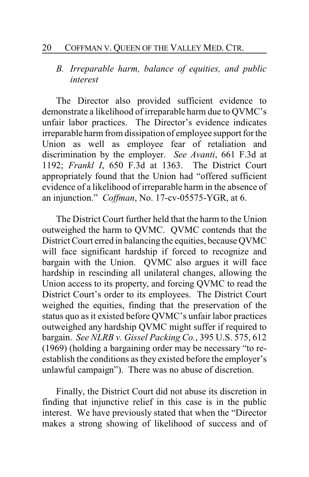#### 20 COFFMAN V. QUEEN OF THE VALLEY MED. CTR.

# *B. Irreparable harm, balance of equities, and public interest*

The Director also provided sufficient evidence to demonstrate a likelihood of irreparable harm due to QVMC's unfair labor practices. The Director's evidence indicates irreparable harm from dissipation of employee support for the Union as well as employee fear of retaliation and discrimination by the employer. *See Avanti*, 661 F.3d at 1192; *Frankl I*, 650 F.3d at 1363. The District Court appropriately found that the Union had "offered sufficient evidence of a likelihood of irreparable harm in the absence of an injunction." *Coffman*, No. 17-cv-05575-YGR, at 6.

The District Court further held that the harm to the Union outweighed the harm to QVMC. QVMC contends that the District Court erred in balancing the equities, because QVMC will face significant hardship if forced to recognize and bargain with the Union. QVMC also argues it will face hardship in rescinding all unilateral changes, allowing the Union access to its property, and forcing QVMC to read the District Court's order to its employees. The District Court weighed the equities, finding that the preservation of the status quo as it existed before QVMC's unfair labor practices outweighed any hardship QVMC might suffer if required to bargain. *See NLRB v. Gissel Packing Co.*, 395 U.S. 575, 612 (1969) (holding a bargaining order may be necessary "to reestablish the conditions as they existed before the employer's unlawful campaign"). There was no abuse of discretion.

Finally, the District Court did not abuse its discretion in finding that injunctive relief in this case is in the public interest. We have previously stated that when the "Director makes a strong showing of likelihood of success and of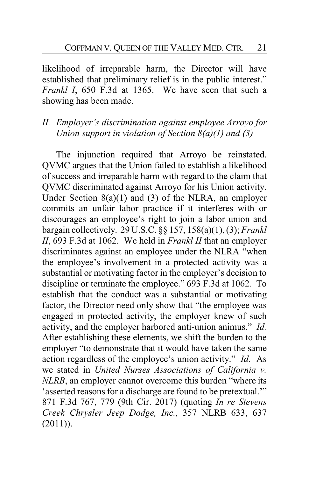likelihood of irreparable harm, the Director will have established that preliminary relief is in the public interest." *Frankl I*, 650 F.3d at 1365. We have seen that such a showing has been made.

### *II. Employer's discrimination against employee Arroyo for Union support in violation of Section 8(a)(1) and (3)*

The injunction required that Arroyo be reinstated. QVMC argues that the Union failed to establish a likelihood of success and irreparable harm with regard to the claim that QVMC discriminated against Arroyo for his Union activity. Under Section  $8(a)(1)$  and  $(3)$  of the NLRA, an employer commits an unfair labor practice if it interferes with or discourages an employee's right to join a labor union and bargain collectively. 29 U.S.C. §§ 157, 158(a)(1), (3); *Frankl II*, 693 F.3d at 1062. We held in *Frankl II* that an employer discriminates against an employee under the NLRA "when the employee's involvement in a protected activity was a substantial or motivating factor in the employer's decision to discipline or terminate the employee." 693 F.3d at 1062*.* To establish that the conduct was a substantial or motivating factor, the Director need only show that "the employee was engaged in protected activity, the employer knew of such activity, and the employer harbored anti-union animus." *Id.* After establishing these elements, we shift the burden to the employer "to demonstrate that it would have taken the same action regardless of the employee's union activity." *Id.* As we stated in *United Nurses Associations of California v. NLRB*, an employer cannot overcome this burden "where its 'asserted reasons for a discharge are found to be pretextual.'" 871 F.3d 767, 779 (9th Cir. 2017) (quoting *In re Stevens Creek Chrysler Jeep Dodge, Inc.*, 357 NLRB 633, 637  $(2011)$ ).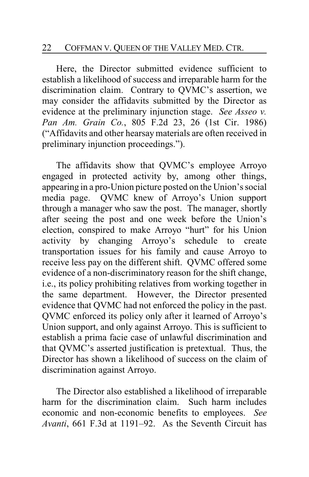Here, the Director submitted evidence sufficient to establish a likelihood of success and irreparable harm for the discrimination claim. Contrary to QVMC's assertion, we may consider the affidavits submitted by the Director as evidence at the preliminary injunction stage. *See Asseo v. Pan Am. Grain Co.*, 805 F.2d 23, 26 (1st Cir. 1986) ("Affidavits and other hearsay materials are often received in preliminary injunction proceedings.").

The affidavits show that QVMC's employee Arroyo engaged in protected activity by, among other things, appearing in a pro-Union picture posted on the Union's social media page. QVMC knew of Arroyo's Union support through a manager who saw the post. The manager, shortly after seeing the post and one week before the Union's election, conspired to make Arroyo "hurt" for his Union activity by changing Arroyo's schedule to create transportation issues for his family and cause Arroyo to receive less pay on the different shift. QVMC offered some evidence of a non-discriminatory reason for the shift change, i.e., its policy prohibiting relatives from working together in the same department. However, the Director presented evidence that QVMC had not enforced the policy in the past. QVMC enforced its policy only after it learned of Arroyo's Union support, and only against Arroyo. This is sufficient to establish a prima facie case of unlawful discrimination and that QVMC's asserted justification is pretextual. Thus, the Director has shown a likelihood of success on the claim of discrimination against Arroyo.

The Director also established a likelihood of irreparable harm for the discrimination claim. Such harm includes economic and non-economic benefits to employees. *See Avanti*, 661 F.3d at 1191–92. As the Seventh Circuit has